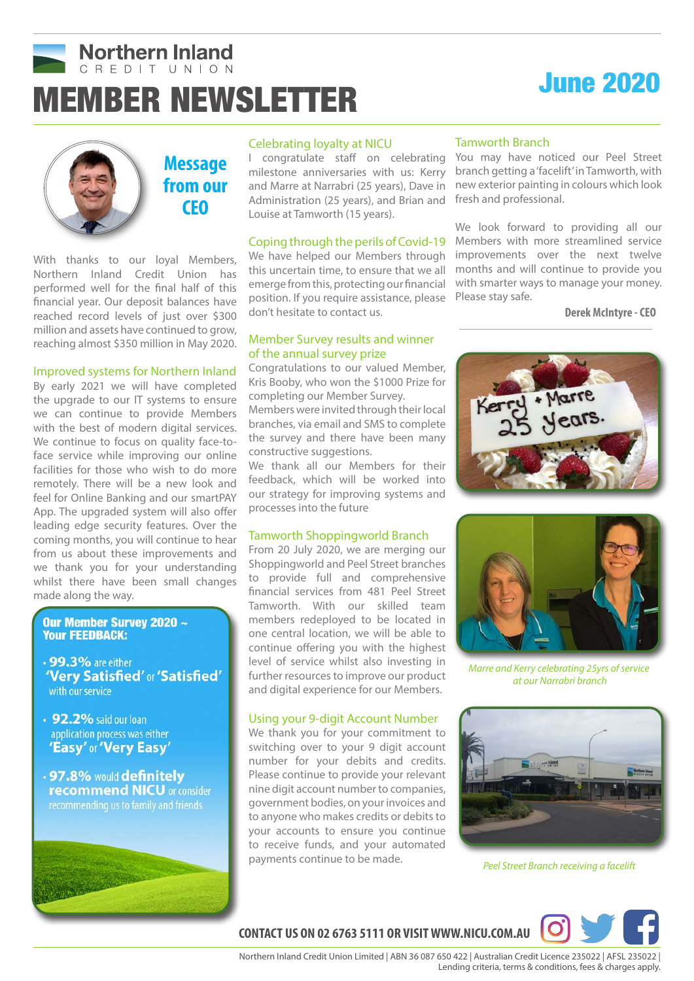

# MEMBER NEWSLETTER June 2020





# **Message from our CEO**

With thanks to our loyal Members, Northern Inland Credit Union has performed well for the final half of this financial year. Our deposit balances have reached record levels of just over \$300 million and assets have continued to grow, reaching almost \$350 million in May 2020.

#### Improved systems for Northern Inland

By early 2021 we will have completed the upgrade to our IT systems to ensure we can continue to provide Members with the best of modern digital services. We continue to focus on quality face-toface service while improving our online facilities for those who wish to do more remotely. There will be a new look and feel for Online Banking and our smartPAY App. The upgraded system will also offer leading edge security features. Over the coming months, you will continue to hear from us about these improvements and we thank you for your understanding whilst there have been small changes made along the way.

#### Our Member Survey 2020 ~ **Your FEEDBACK:**

- 99.3% are either 'Very Satisfied' or 'Satisfied' with our service
- 92.2% said our loan application process was either 'Easy' or 'Very Easy'
- .97.8% would definitely **recommend NICU** or consider recommending us to family and friends



#### Celebrating loyalty at NICU

I congratulate staff on celebrating milestone anniversaries with us: Kerry and Marre at Narrabri (25 years), Dave in Administration (25 years), and Brian and Louise at Tamworth (15 years).

We have helped our Members through this uncertain time, to ensure that we all emerge from this, protecting our financial position. If you require assistance, please don't hesitate to contact us.

#### Member Survey results and winner of the annual survey prize

Congratulations to our valued Member, Kris Booby, who won the \$1000 Prize for completing our Member Survey. Members were invited through their local branches, via email and SMS to complete the survey and there have been many constructive suggestions.

We thank all our Members for their feedback, which will be worked into our strategy for improving systems and processes into the future

#### Tamworth Shoppingworld Branch

From 20 July 2020, we are merging our Shoppingworld and Peel Street branches to provide full and comprehensive financial services from 481 Peel Street Tamworth. With our skilled team members redeployed to be located in one central location, we will be able to continue offering you with the highest level of service whilst also investing in further resources to improve our product and digital experience for our Members.

### Using your 9-digit Account Number

We thank you for your commitment to switching over to your 9 digit account number for your debits and credits. Please continue to provide your relevant nine digit account number to companies, government bodies, on your invoices and to anyone who makes credits or debits to your accounts to ensure you continue to receive funds, and your automated payments continue to be made.

#### Tamworth Branch

You may have noticed our Peel Street branch getting a 'facelift' in Tamworth, with new exterior painting in colours which look fresh and professional.

Coping through the perils of Covid-19 Members with more streamlined service We look forward to providing all our improvements over the next twelve months and will continue to provide you with smarter ways to manage your money. Please stay safe.

**Derek McIntyre - CEO**





*Marre and Kerry celebrating 25yrs of service at our Narrabri branch*



*Peel Street Branch receiving a facelift*



**CONTACT US ON 02 6763 5111 OR VISIT WWW.NICU.COM.AU**

 Northern Inland Credit Union Limited | ABN 36 087 650 422 | Australian Credit Licence 235022 | AFSL 235022 | Lending criteria, terms & conditions, fees & charges apply.